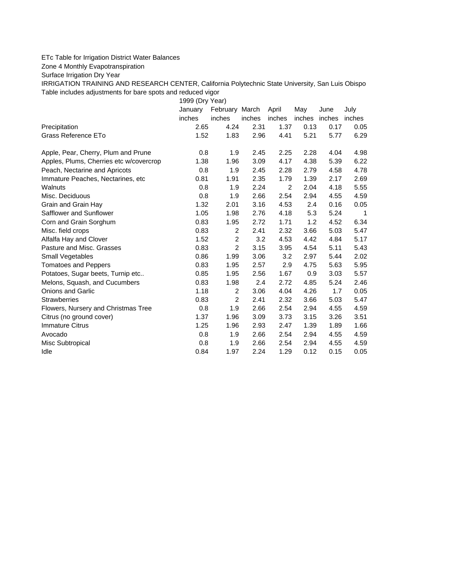## ETc Table for Irrigation District Water Balances

Zone 4 Monthly Evapotranspiration

Surface Irrigation Dry Year

IRRIGATION TRAINING AND RESEARCH CENTER, California Polytechnic State University, San Luis Obispo Table includes adjustments for bare spots and reduced vigor

1999 (Dry Year)

|                                         | January | February March |        | April  | May           | June | July   |
|-----------------------------------------|---------|----------------|--------|--------|---------------|------|--------|
|                                         | inches  | inches         | inches | inches | inches inches |      | inches |
| Precipitation                           | 2.65    | 4.24           | 2.31   | 1.37   | 0.13          | 0.17 | 0.05   |
| Grass Reference ETo                     | 1.52    | 1.83           | 2.96   | 4.41   | 5.21          | 5.77 | 6.29   |
| Apple, Pear, Cherry, Plum and Prune     | 0.8     | 1.9            | 2.45   | 2.25   | 2.28          | 4.04 | 4.98   |
| Apples, Plums, Cherries etc w/covercrop | 1.38    | 1.96           | 3.09   | 4.17   | 4.38          | 5.39 | 6.22   |
| Peach, Nectarine and Apricots           | 0.8     | 1.9            | 2.45   | 2.28   | 2.79          | 4.58 | 4.78   |
| Immature Peaches, Nectarines, etc       | 0.81    | 1.91           | 2.35   | 1.79   | 1.39          | 2.17 | 2.69   |
| Walnuts                                 | 0.8     | 1.9            | 2.24   | 2      | 2.04          | 4.18 | 5.55   |
| Misc. Deciduous                         | 0.8     | 1.9            | 2.66   | 2.54   | 2.94          | 4.55 | 4.59   |
| Grain and Grain Hay                     | 1.32    | 2.01           | 3.16   | 4.53   | 2.4           | 0.16 | 0.05   |
| Safflower and Sunflower                 | 1.05    | 1.98           | 2.76   | 4.18   | 5.3           | 5.24 | 1      |
| Corn and Grain Sorghum                  | 0.83    | 1.95           | 2.72   | 1.71   | 1.2           | 4.52 | 6.34   |
| Misc. field crops                       | 0.83    | 2              | 2.41   | 2.32   | 3.66          | 5.03 | 5.47   |
| Alfalfa Hay and Clover                  | 1.52    | $\overline{c}$ | 3.2    | 4.53   | 4.42          | 4.84 | 5.17   |
| Pasture and Misc. Grasses               | 0.83    | $\overline{2}$ | 3.15   | 3.95   | 4.54          | 5.11 | 5.43   |
| Small Vegetables                        | 0.86    | 1.99           | 3.06   | 3.2    | 2.97          | 5.44 | 2.02   |
| <b>Tomatoes and Peppers</b>             | 0.83    | 1.95           | 2.57   | 2.9    | 4.75          | 5.63 | 5.95   |
| Potatoes, Sugar beets, Turnip etc       | 0.85    | 1.95           | 2.56   | 1.67   | 0.9           | 3.03 | 5.57   |
| Melons, Squash, and Cucumbers           | 0.83    | 1.98           | 2.4    | 2.72   | 4.85          | 5.24 | 2.46   |
| <b>Onions and Garlic</b>                | 1.18    | 2              | 3.06   | 4.04   | 4.26          | 1.7  | 0.05   |
| <b>Strawberries</b>                     | 0.83    | $\overline{2}$ | 2.41   | 2.32   | 3.66          | 5.03 | 5.47   |
| Flowers, Nursery and Christmas Tree     | 0.8     | 1.9            | 2.66   | 2.54   | 2.94          | 4.55 | 4.59   |
| Citrus (no ground cover)                | 1.37    | 1.96           | 3.09   | 3.73   | 3.15          | 3.26 | 3.51   |
| <b>Immature Citrus</b>                  | 1.25    | 1.96           | 2.93   | 2.47   | 1.39          | 1.89 | 1.66   |
| Avocado                                 | 0.8     | 1.9            | 2.66   | 2.54   | 2.94          | 4.55 | 4.59   |
| Misc Subtropical                        | 0.8     | 1.9            | 2.66   | 2.54   | 2.94          | 4.55 | 4.59   |
| Idle                                    | 0.84    | 1.97           | 2.24   | 1.29   | 0.12          | 0.15 | 0.05   |